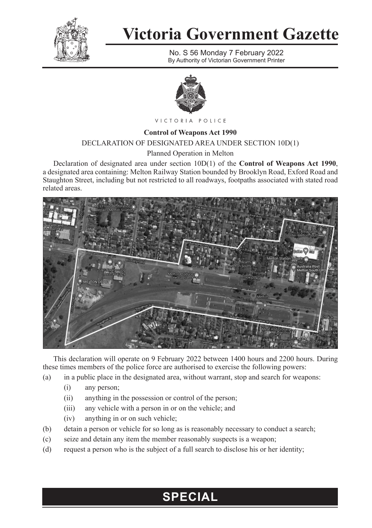

## **Victoria Government Gazette**

No. S 56 Monday 7 February 2022 By Authority of Victorian Government Printer



VICTORIA POLICE

### **Control of Weapons Act 1990** DECLARATION OF DESIGNATED AREA UNDER SECTION 10D(1)

#### Planned Operation in Melton

Declaration of designated area under section 10D(1) of the **Control of Weapons Act 1990**, a designated area containing: Melton Railway Station bounded by Brooklyn Road, Exford Road and Staughton Street, including but not restricted to all roadways, footpaths associated with stated road related areas.



This declaration will operate on 9 February 2022 between 1400 hours and 2200 hours. During these times members of the police force are authorised to exercise the following powers:

- (a) in a public place in the designated area, without warrant, stop and search for weapons:
	- (i) any person;
	- (ii) anything in the possession or control of the person;
	- (iii) any vehicle with a person in or on the vehicle; and
	- (iv) anything in or on such vehicle;
- (b) detain a person or vehicle for so long as is reasonably necessary to conduct a search;
- (c) seize and detain any item the member reasonably suspects is a weapon;
- (d) request a person who is the subject of a full search to disclose his or her identity;

## **SPECIAL**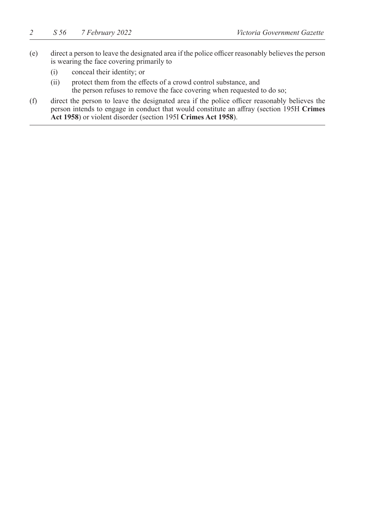- (e) direct a person to leave the designated area if the police officer reasonably believes the person is wearing the face covering primarily to
	- (i) conceal their identity; or
	- (ii) protect them from the effects of a crowd control substance, and the person refuses to remove the face covering when requested to do so;
- (f) direct the person to leave the designated area if the police officer reasonably believes the person intends to engage in conduct that would constitute an affray (section 195H **Crimes Act 1958**) or violent disorder (section 195I **Crimes Act 1958**).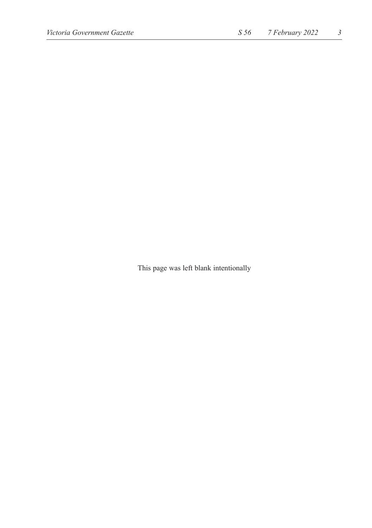This page was left blank intentionally